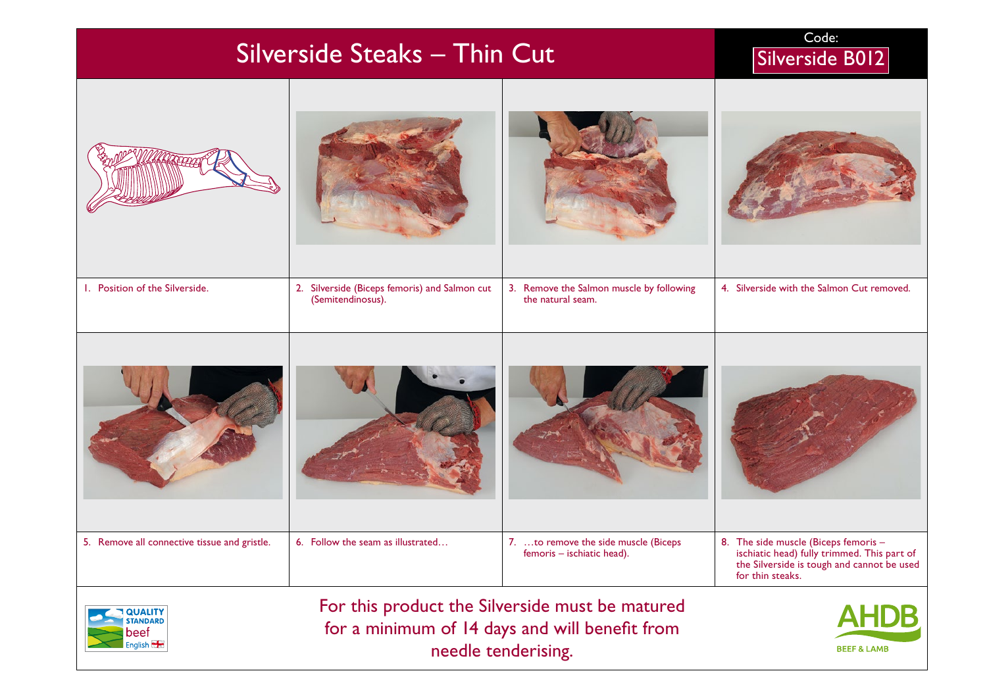| Silverside Steaks - Thin Cut                                                                                                                                                                           | Code:<br>Silverside B012                                           |                                                                    |                                                                                                                                                       |  |
|--------------------------------------------------------------------------------------------------------------------------------------------------------------------------------------------------------|--------------------------------------------------------------------|--------------------------------------------------------------------|-------------------------------------------------------------------------------------------------------------------------------------------------------|--|
|                                                                                                                                                                                                        |                                                                    |                                                                    |                                                                                                                                                       |  |
| I. Position of the Silverside.                                                                                                                                                                         | 2. Silverside (Biceps femoris) and Salmon cut<br>(Semitendinosus). | 3. Remove the Salmon muscle by following<br>the natural seam.      | 4. Silverside with the Salmon Cut removed.                                                                                                            |  |
|                                                                                                                                                                                                        |                                                                    |                                                                    |                                                                                                                                                       |  |
| 5. Remove all connective tissue and gristle.                                                                                                                                                           | 6. Follow the seam as illustrated                                  | 7. to remove the side muscle (Biceps<br>temoris – ischiatic head). | 8. The side muscle (Biceps femoris -<br>ischiatic head) fully trimmed. This part of<br>the Silverside is tough and cannot be used<br>for thin steaks. |  |
| For this product the Silverside must be matured<br><b>AHDB</b><br><b>OUALITY</b><br>for a minimum of 14 days and will benefit from<br>beef<br>English<br>needle tenderising.<br><b>BEEF &amp; LAMB</b> |                                                                    |                                                                    |                                                                                                                                                       |  |